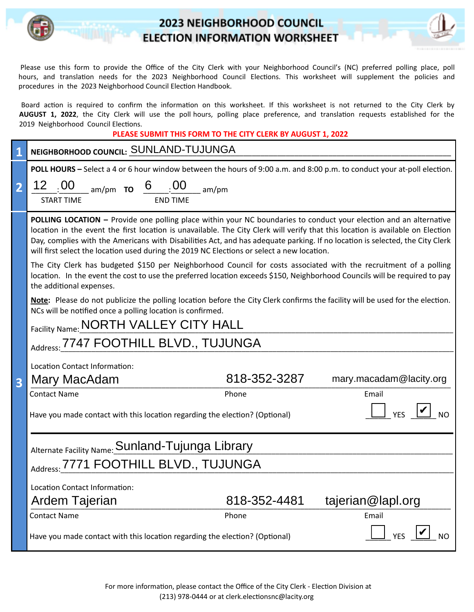## **2023 NEIGHBORHOOD COUNCIL ELECTION INFORMATION WORKSHEET**



Board action is required to confirm the information on this worksheet. If this worksheet is not returned to the City Clerk by AUGUST 1, 2022, the City Clerk will use the poll hours, polling place preference, and translation requests established for the 2019 Neighborhood Council Elections.

| PLEASE SUBMIT THIS FORM TO THE CITY CLERK BY AUGUST 1, 2022 |
|-------------------------------------------------------------|
|-------------------------------------------------------------|

|                         | NEIGHBORHOOD COUNCIL: SUNLAND-TUJUNGA                                                                                                                                                                                                                                                                                                                                                                                                                                               |  |  |  |  |
|-------------------------|-------------------------------------------------------------------------------------------------------------------------------------------------------------------------------------------------------------------------------------------------------------------------------------------------------------------------------------------------------------------------------------------------------------------------------------------------------------------------------------|--|--|--|--|
|                         | POLL HOURS - Select a 4 or 6 hour window between the hours of 9:00 a.m. and 8:00 p.m. to conduct your at-poll election.                                                                                                                                                                                                                                                                                                                                                             |  |  |  |  |
|                         | $\underbrace{12}_{\text{START TIME}}$ am/pm <b>TO</b> $\underbrace{6}_{\text{END TIME}}$ am/pm                                                                                                                                                                                                                                                                                                                                                                                      |  |  |  |  |
|                         | <b>START TIME</b>                                                                                                                                                                                                                                                                                                                                                                                                                                                                   |  |  |  |  |
|                         | POLLING LOCATION - Provide one polling place within your NC boundaries to conduct your election and an alternative<br>location in the event the first location is unavailable. The City Clerk will verify that this location is available on Election<br>Day, complies with the Americans with Disabilities Act, and has adequate parking. If no location is selected, the City Clerk<br>will first select the location used during the 2019 NC Elections or select a new location. |  |  |  |  |
|                         | The City Clerk has budgeted \$150 per Neighborhood Council for costs associated with the recruitment of a polling<br>location. In the event the cost to use the preferred location exceeds \$150, Neighborhood Councils will be required to pay<br>the additional expenses.                                                                                                                                                                                                         |  |  |  |  |
|                         | Note: Please do not publicize the polling location before the City Clerk confirms the facility will be used for the election.<br>NCs will be notified once a polling location is confirmed.<br>Facility Name: NORTH VALLEY CITY HALL                                                                                                                                                                                                                                                |  |  |  |  |
|                         | Address: 7747 FOOTHILL BLVD., TUJUNGA                                                                                                                                                                                                                                                                                                                                                                                                                                               |  |  |  |  |
|                         |                                                                                                                                                                                                                                                                                                                                                                                                                                                                                     |  |  |  |  |
|                         | Location Contact Information:<br>818-352-3287<br>mary.macadam@lacity.org<br>Mary MacAdam                                                                                                                                                                                                                                                                                                                                                                                            |  |  |  |  |
| $\overline{\mathbf{3}}$ | <b>Contact Name</b><br>Phone<br>Email                                                                                                                                                                                                                                                                                                                                                                                                                                               |  |  |  |  |
|                         | <b>YES</b><br>Have you made contact with this location regarding the election? (Optional)                                                                                                                                                                                                                                                                                                                                                                                           |  |  |  |  |
|                         | Alternate Facility Name: Sunland-Tujunga Library                                                                                                                                                                                                                                                                                                                                                                                                                                    |  |  |  |  |
|                         | Address: 7771 FOOTHILL BLVD., TUJUNGA                                                                                                                                                                                                                                                                                                                                                                                                                                               |  |  |  |  |
|                         | Location Contact Information:                                                                                                                                                                                                                                                                                                                                                                                                                                                       |  |  |  |  |
|                         | tajerian@lapl.org<br>Ardem Tajerian<br>818-352-4481                                                                                                                                                                                                                                                                                                                                                                                                                                 |  |  |  |  |
|                         | Phone<br><b>Contact Name</b><br>Email                                                                                                                                                                                                                                                                                                                                                                                                                                               |  |  |  |  |
|                         | <b>YES</b><br>Have you made contact with this location regarding the election? (Optional)<br><b>NO</b>                                                                                                                                                                                                                                                                                                                                                                              |  |  |  |  |